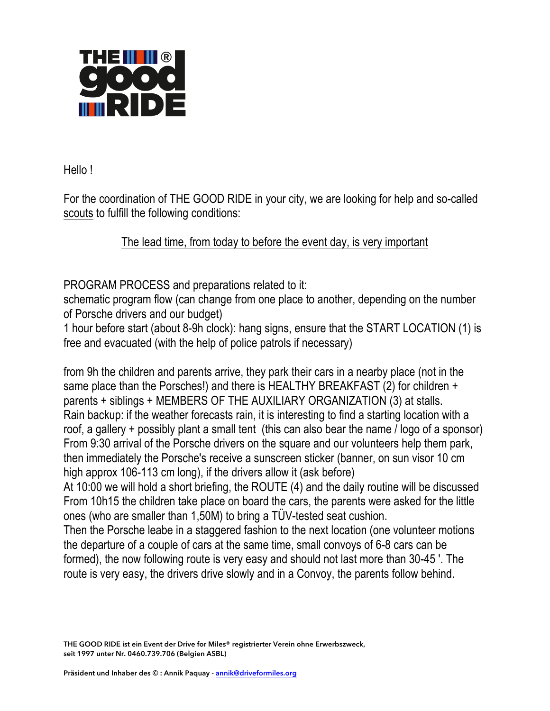

Hello !

For the coordination of THE GOOD RIDE in your city, we are looking for help and so-called scouts to fulfill the following conditions:

The lead time, from today to before the event day, is very important

PROGRAM PROCESS and preparations related to it:

schematic program flow (can change from one place to another, depending on the number of Porsche drivers and our budget)

1 hour before start (about 8-9h clock): hang signs, ensure that the START LOCATION (1) is free and evacuated (with the help of police patrols if necessary)

from 9h the children and parents arrive, they park their cars in a nearby place (not in the same place than the Porsches!) and there is HEALTHY BREAKFAST (2) for children + parents + siblings + MEMBERS OF THE AUXILIARY ORGANIZATION (3) at stalls. Rain backup: if the weather forecasts rain, it is interesting to find a starting location with a roof, a gallery + possibly plant a small tent (this can also bear the name / logo of a sponsor) From 9:30 arrival of the Porsche drivers on the square and our volunteers help them park, then immediately the Porsche's receive a sunscreen sticker (banner, on sun visor 10 cm high approx 106-113 cm long), if the drivers allow it (ask before)

At 10:00 we will hold a short briefing, the ROUTE (4) and the daily routine will be discussed From 10h15 the children take place on board the cars, the parents were asked for the little ones (who are smaller than 1,50M) to bring a TÜV-tested seat cushion.

Then the Porsche leabe in a staggered fashion to the next location (one volunteer motions the departure of a couple of cars at the same time, small convoys of 6-8 cars can be formed), the now following route is very easy and should not last more than 30-45 '. The route is very easy, the drivers drive slowly and in a Convoy, the parents follow behind.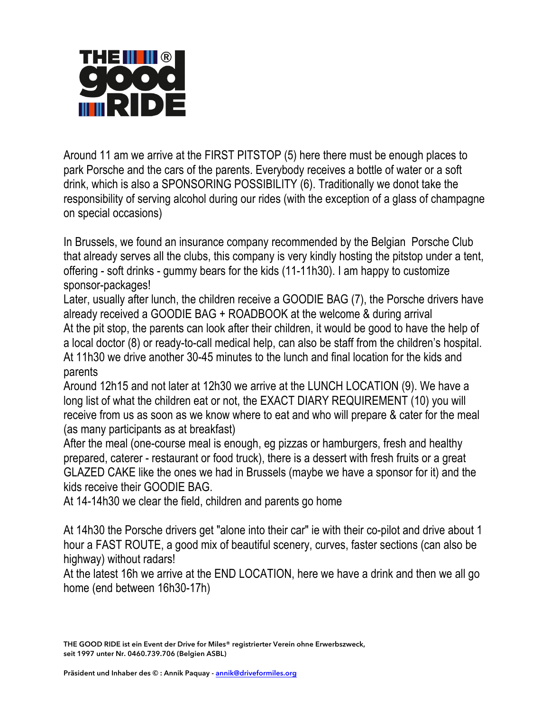

Around 11 am we arrive at the FIRST PITSTOP (5) here there must be enough places to park Porsche and the cars of the parents. Everybody receives a bottle of water or a soft drink, which is also a SPONSORING POSSIBILITY (6). Traditionally we donot take the responsibility of serving alcohol during our rides (with the exception of a glass of champagne on special occasions)

In Brussels, we found an insurance company recommended by the Belgian Porsche Club that already serves all the clubs, this company is very kindly hosting the pitstop under a tent, offering - soft drinks - gummy bears for the kids (11-11h30). I am happy to customize sponsor-packages!

Later, usually after lunch, the children receive a GOODIE BAG (7), the Porsche drivers have already received a GOODIE BAG + ROADBOOK at the welcome & during arrival At the pit stop, the parents can look after their children, it would be good to have the help of a local doctor (8) or ready-to-call medical help, can also be staff from the children's hospital. At 11h30 we drive another 30-45 minutes to the lunch and final location for the kids and parents

Around 12h15 and not later at 12h30 we arrive at the LUNCH LOCATION (9). We have a long list of what the children eat or not, the EXACT DIARY REQUIREMENT (10) you will receive from us as soon as we know where to eat and who will prepare & cater for the meal (as many participants as at breakfast)

After the meal (one-course meal is enough, eg pizzas or hamburgers, fresh and healthy prepared, caterer - restaurant or food truck), there is a dessert with fresh fruits or a great GLAZED CAKE like the ones we had in Brussels (maybe we have a sponsor for it) and the kids receive their GOODIE BAG.

At 14-14h30 we clear the field, children and parents go home

At 14h30 the Porsche drivers get "alone into their car" ie with their co-pilot and drive about 1 hour a FAST ROUTE, a good mix of beautiful scenery, curves, faster sections (can also be highway) without radars!

At the latest 16h we arrive at the END LOCATION, here we have a drink and then we all go home (end between 16h30-17h)

**THE GOOD RIDE ist ein Event der Drive for Miles® registrierter Verein ohne Erwerbszweck, seit 1997 unter Nr. 0460.739.706 (Belgien ASBL)**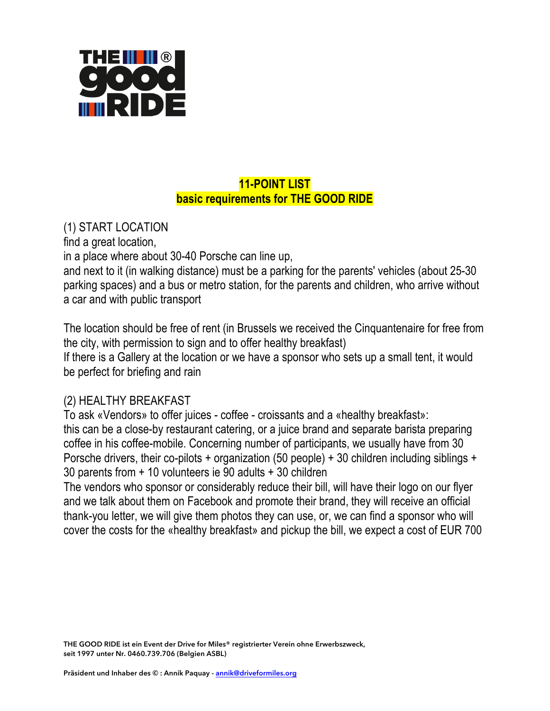

## **11-POINT LIST basic requirements for THE GOOD RIDE**

(1) START LOCATION

find a great location,

in a place where about 30-40 Porsche can line up,

and next to it (in walking distance) must be a parking for the parents' vehicles (about 25-30 parking spaces) and a bus or metro station, for the parents and children, who arrive without a car and with public transport

The location should be free of rent (in Brussels we received the Cinquantenaire for free from the city, with permission to sign and to offer healthy breakfast) If there is a Gallery at the location or we have a sponsor who sets up a small tent, it would be perfect for briefing and rain

#### (2) HEALTHY BREAKFAST

To ask «Vendors» to offer juices - coffee - croissants and a «healthy breakfast»: this can be a close-by restaurant catering, or a juice brand and separate barista preparing coffee in his coffee-mobile. Concerning number of participants, we usually have from 30 Porsche drivers, their co-pilots + organization (50 people) + 30 children including siblings + 30 parents from + 10 volunteers ie 90 adults + 30 children

The vendors who sponsor or considerably reduce their bill, will have their logo on our flyer and we talk about them on Facebook and promote their brand, they will receive an official thank-you letter, we will give them photos they can use, or, we can find a sponsor who will cover the costs for the «healthy breakfast» and pickup the bill, we expect a cost of EUR 700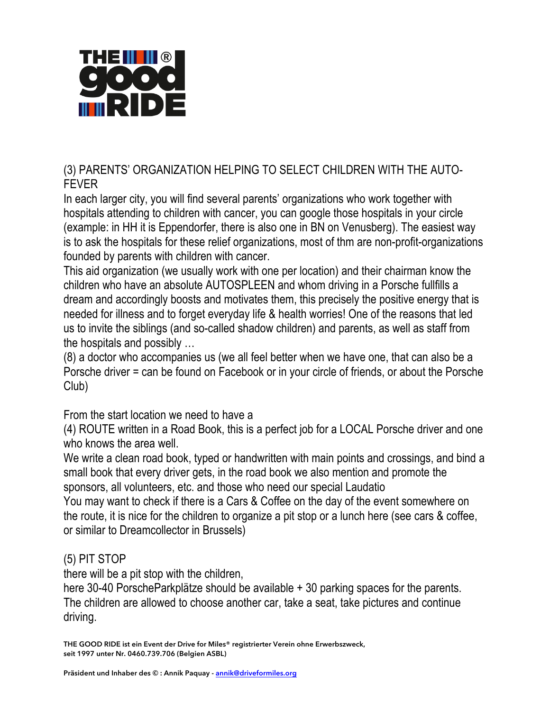

(3) PARENTS' ORGANIZATION HELPING TO SELECT CHILDREN WITH THE AUTO-FEVER

In each larger city, you will find several parents' organizations who work together with hospitals attending to children with cancer, you can google those hospitals in your circle (example: in HH it is Eppendorfer, there is also one in BN on Venusberg). The easiest way is to ask the hospitals for these relief organizations, most of thm are non-profit-organizations founded by parents with children with cancer.

This aid organization (we usually work with one per location) and their chairman know the children who have an absolute AUTOSPLEEN and whom driving in a Porsche fullfills a dream and accordingly boosts and motivates them, this precisely the positive energy that is needed for illness and to forget everyday life & health worries! One of the reasons that led us to invite the siblings (and so-called shadow children) and parents, as well as staff from the hospitals and possibly …

(8) a doctor who accompanies us (we all feel better when we have one, that can also be a Porsche driver = can be found on Facebook or in your circle of friends, or about the Porsche Club)

From the start location we need to have a

(4) ROUTE written in a Road Book, this is a perfect job for a LOCAL Porsche driver and one who knows the area well.

We write a clean road book, typed or handwritten with main points and crossings, and bind a small book that every driver gets, in the road book we also mention and promote the sponsors, all volunteers, etc. and those who need our special Laudatio

You may want to check if there is a Cars & Coffee on the day of the event somewhere on the route, it is nice for the children to organize a pit stop or a lunch here (see cars & coffee, or similar to Dreamcollector in Brussels)

## (5) PIT STOP

there will be a pit stop with the children,

here 30-40 PorscheParkplätze should be available + 30 parking spaces for the parents. The children are allowed to choose another car, take a seat, take pictures and continue driving.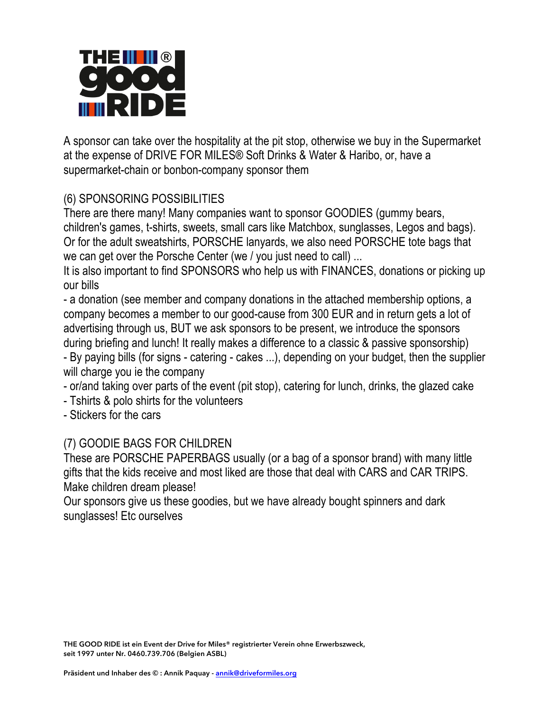

A sponsor can take over the hospitality at the pit stop, otherwise we buy in the Supermarket at the expense of DRIVE FOR MILES® Soft Drinks & Water & Haribo, or, have a supermarket-chain or bonbon-company sponsor them

# (6) SPONSORING POSSIBILITIES

There are there many! Many companies want to sponsor GOODIES (gummy bears, children's games, t-shirts, sweets, small cars like Matchbox, sunglasses, Legos and bags). Or for the adult sweatshirts, PORSCHE lanyards, we also need PORSCHE tote bags that we can get over the Porsche Center (we / you just need to call) ...

It is also important to find SPONSORS who help us with FINANCES, donations or picking up our bills

- a donation (see member and company donations in the attached membership options, a company becomes a member to our good-cause from 300 EUR and in return gets a lot of advertising through us, BUT we ask sponsors to be present, we introduce the sponsors during briefing and lunch! It really makes a difference to a classic & passive sponsorship)

- By paying bills (for signs - catering - cakes ...), depending on your budget, then the supplier will charge you ie the company

- or/and taking over parts of the event (pit stop), catering for lunch, drinks, the glazed cake

- Tshirts & polo shirts for the volunteers
- Stickers for the cars

## (7) GOODIE BAGS FOR CHILDREN

These are PORSCHE PAPERBAGS usually (or a bag of a sponsor brand) with many little gifts that the kids receive and most liked are those that deal with CARS and CAR TRIPS. Make children dream please!

Our sponsors give us these goodies, but we have already bought spinners and dark sunglasses! Etc ourselves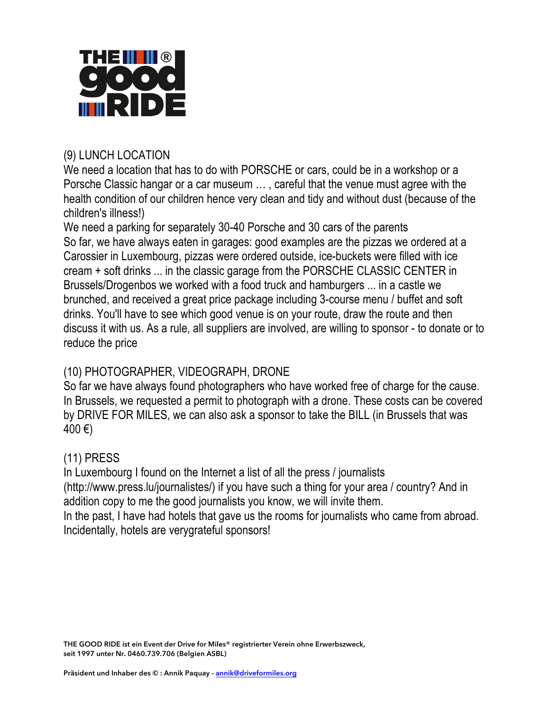

#### (9) LUNCH LOCATION

We need a location that has to do with PORSCHE or cars, could be in a workshop or a Porsche Classic hangar or a car museum … , careful that the venue must agree with the health condition of our children hence very clean and tidy and without dust (because of the children's illness!)

We need a parking for separately 30-40 Porsche and 30 cars of the parents So far, we have always eaten in garages: good examples are the pizzas we ordered at a Carossier in Luxembourg, pizzas were ordered outside, ice-buckets were filled with ice cream + soft drinks ... in the classic garage from the PORSCHE CLASSIC CENTER in Brussels/Drogenbos we worked with a food truck and hamburgers ... in a castle we brunched, and received a great price package including 3-course menu / buffet and soft drinks. You'll have to see which good venue is on your route, draw the route and then discuss it with us. As a rule, all suppliers are involved, are willing to sponsor - to donate or to reduce the price

## (10) PHOTOGRAPHER, VIDEOGRAPH, DRONE

So far we have always found photographers who have worked free of charge for the cause. In Brussels, we requested a permit to photograph with a drone. These costs can be covered by DRIVE FOR MILES, we can also ask a sponsor to take the BILL (in Brussels that was  $400 €$ 

## (11) PRESS

In Luxembourg I found on the Internet a list of all the press / journalists (http://www.press.lu/journalistes/) if you have such a thing for your area / country? And in addition copy to me the good journalists you know, we will invite them. In the past, I have had hotels that gave us the rooms for journalists who came from abroad.

Incidentally, hotels are verygrateful sponsors!